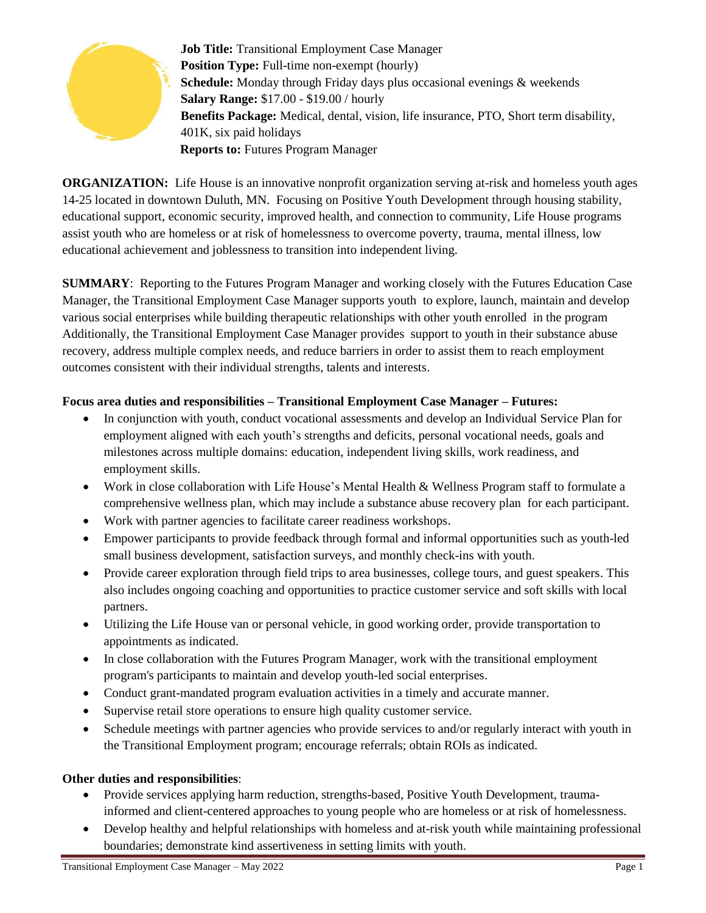

**Job Title:** Transitional Employment Case Manager **Position Type:** Full-time non-exempt (hourly) **Schedule:** Monday through Friday days plus occasional evenings & weekends **Salary Range:** \$17.00 - \$19.00 / hourly **Benefits Package:** Medical, dental, vision, life insurance, PTO, Short term disability, 401K, six paid holidays **Reports to: Futures Program Manager** 

**ORGANIZATION:** Life House is an innovative nonprofit organization serving at-risk and homeless youth ages 14-25 located in downtown Duluth, MN. Focusing on Positive Youth Development through housing stability, educational support, economic security, improved health, and connection to community, Life House programs assist youth who are homeless or at risk of homelessness to overcome poverty, trauma, mental illness, low educational achievement and joblessness to transition into independent living.

**SUMMARY**: Reporting to the Futures Program Manager and working closely with the Futures Education Case Manager, the Transitional Employment Case Manager supports youth to explore, launch, maintain and develop various social enterprises while building therapeutic relationships with other youth enrolled in the program Additionally, the Transitional Employment Case Manager provides support to youth in their substance abuse recovery, address multiple complex needs, and reduce barriers in order to assist them to reach employment outcomes consistent with their individual strengths, talents and interests.

# **Focus area duties and responsibilities – Transitional Employment Case Manager – Futures:**

- In conjunction with youth, conduct vocational assessments and develop an Individual Service Plan for employment aligned with each youth's strengths and deficits, personal vocational needs, goals and milestones across multiple domains: education, independent living skills, work readiness, and employment skills.
- Work in close collaboration with Life House's Mental Health & Wellness Program staff to formulate a comprehensive wellness plan, which may include a substance abuse recovery plan for each participant.
- Work with partner agencies to facilitate career readiness workshops.
- Empower participants to provide feedback through formal and informal opportunities such as youth-led small business development, satisfaction surveys, and monthly check-ins with youth.
- Provide career exploration through field trips to area businesses, college tours, and guest speakers. This also includes ongoing coaching and opportunities to practice customer service and soft skills with local partners.
- Utilizing the Life House van or personal vehicle, in good working order, provide transportation to appointments as indicated.
- In close collaboration with the Futures Program Manager, work with the transitional employment program's participants to maintain and develop youth-led social enterprises.
- Conduct grant-mandated program evaluation activities in a timely and accurate manner.
- Supervise retail store operations to ensure high quality customer service.
- Schedule meetings with partner agencies who provide services to and/or regularly interact with youth in the Transitional Employment program; encourage referrals; obtain ROIs as indicated.

## **Other duties and responsibilities**:

- Provide services applying harm reduction, strengths-based, Positive Youth Development, traumainformed and client-centered approaches to young people who are homeless or at risk of homelessness.
- Develop healthy and helpful relationships with homeless and at-risk youth while maintaining professional boundaries; demonstrate kind assertiveness in setting limits with youth.